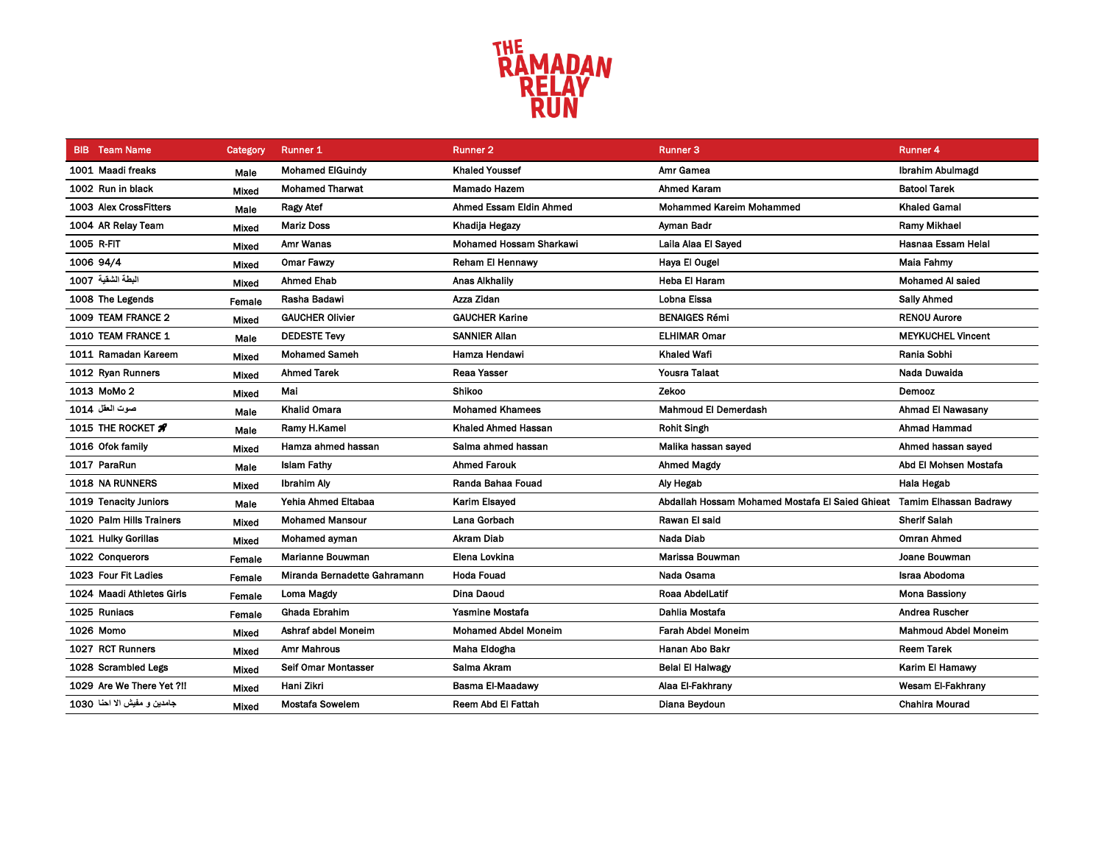

| <b>BIB</b> Team Name         | Category     | <b>Runner 1</b>              | <b>Runner 2</b>                | <b>Runner 3</b>                                                        | <b>Runner 4</b>             |
|------------------------------|--------------|------------------------------|--------------------------------|------------------------------------------------------------------------|-----------------------------|
| 1001 Maadi freaks            | Male         | <b>Mohamed ElGuindy</b>      | <b>Khaled Youssef</b>          | Amr Gamea                                                              | <b>Ibrahim Abulmagd</b>     |
| 1002 Run in black            | Mixed        | <b>Mohamed Tharwat</b>       | Mamado Hazem                   | <b>Ahmed Karam</b>                                                     | <b>Batool Tarek</b>         |
| 1003 Alex CrossFitters       | Male         | <b>Ragy Atef</b>             | Ahmed Essam Eldin Ahmed        | <b>Mohammed Kareim Mohammed</b>                                        | <b>Khaled Gamal</b>         |
| 1004 AR Relay Team           | Mixed        | <b>Mariz Doss</b>            | Khadija Hegazy                 | Ayman Badr                                                             | Ramy Mikhael                |
| 1005 R-FIT                   | Mixed        | Amr Wanas                    | <b>Mohamed Hossam Sharkawi</b> | Laila Alaa El Sayed                                                    | Hasnaa Essam Helal          |
| 1006 94/4                    | Mixed        | <b>Omar Fawzy</b>            | <b>Reham El Hennawy</b>        | Haya El Ougel                                                          | <b>Maia Fahmy</b>           |
| البطة الشقية 1007            | Mixed        | <b>Ahmed Ehab</b>            | <b>Anas Alkhalily</b>          | Heba El Haram                                                          | Mohamed Al saied            |
| 1008 The Legends             | Female       | Rasha Badawi                 | Azza Zidan                     | Lobna Eissa                                                            | <b>Sally Ahmed</b>          |
| 1009 TEAM FRANCE 2           | Mixed        | <b>GAUCHER Olivier</b>       | <b>GAUCHER Karine</b>          | <b>BENAIGES Rémi</b>                                                   | <b>RENOU Aurore</b>         |
| 1010 TEAM FRANCE 1           | Male         | <b>DEDESTE Tevy</b>          | <b>SANNIER Allan</b>           | <b>ELHIMAR Omar</b>                                                    | <b>MEYKUCHEL Vincent</b>    |
| 1011 Ramadan Kareem          | Mixed        | <b>Mohamed Sameh</b>         | Hamza Hendawi                  | Khaled Wafi                                                            | Rania Sobhi                 |
| 1012 Ryan Runners            | Mixed        | <b>Ahmed Tarek</b>           | <b>Reaa Yasser</b>             | <b>Yousra Talaat</b>                                                   | Nada Duwaida                |
| 1013 MoMo 2                  | <b>Mixed</b> | Mai                          | Shikoo                         | Zekoo                                                                  | Demooz                      |
| صوت العقل 1014               | Male         | <b>Khalid Omara</b>          | <b>Mohamed Khamees</b>         | <b>Mahmoud El Demerdash</b>                                            | <b>Ahmad El Nawasany</b>    |
| 1015 THE ROCKET #            | Male         | Ramy H.Kamel                 | Khaled Ahmed Hassan            | <b>Rohit Singh</b>                                                     | <b>Ahmad Hammad</b>         |
| 1016 Ofok family             | Mixed        | Hamza ahmed hassan           | Salma ahmed hassan             | Malika hassan sayed                                                    | Ahmed hassan sayed          |
| 1017 ParaRun                 | Male         | <b>Islam Fathy</b>           | <b>Ahmed Farouk</b>            | <b>Ahmed Magdy</b>                                                     | Abd El Mohsen Mostafa       |
| <b>1018 NA RUNNERS</b>       | Mixed        | <b>Ibrahim Aly</b>           | Randa Bahaa Fouad              | Aly Hegab                                                              | Hala Hegab                  |
| 1019 Tenacity Juniors        | Male         | Yehia Ahmed Eltabaa          | <b>Karim Elsayed</b>           | Abdallah Hossam Mohamed Mostafa El Saied Ghieat Tamim Elhassan Badrawy |                             |
| 1020 Palm Hills Trainers     | Mixed        | <b>Mohamed Mansour</b>       | Lana Gorbach                   | Rawan El said                                                          | <b>Sherif Salah</b>         |
| 1021 Hulky Gorillas          | Mixed        | Mohamed ayman                | <b>Akram Diab</b>              | Nada Diab                                                              | Omran Ahmed                 |
| 1022 Conquerors              | Female       | Marianne Bouwman             | Elena Lovkina                  | Marissa Bouwman                                                        | Joane Bouwman               |
| 1023 Four Fit Ladies         | Female       | Miranda Bernadette Gahramann | <b>Hoda Fouad</b>              | Nada Osama                                                             | Israa Abodoma               |
| 1024 Maadi Athletes Girls    | Female       | Loma Magdy                   | Dina Daoud                     | Roaa AbdelLatif                                                        | <b>Mona Bassiony</b>        |
| 1025 Runiacs                 | Female       | Ghada Ebrahim                | Yasmine Mostafa                | Dahlia Mostafa                                                         | Andrea Ruscher              |
| 1026 Momo                    | Mixed        | Ashraf abdel Moneim          | <b>Mohamed Abdel Moneim</b>    | Farah Abdel Moneim                                                     | <b>Mahmoud Abdel Moneim</b> |
| 1027 RCT Runners             | Mixed        | <b>Amr Mahrous</b>           | Maha Eldogha                   | Hanan Abo Bakr                                                         | <b>Reem Tarek</b>           |
| 1028 Scrambled Legs          | Mixed        | Seif Omar Montasser          | Salma Akram                    | <b>Belal El Halwagy</b>                                                | Karim El Hamawy             |
| 1029 Are We There Yet ?!!    | Mixed        | Hani Zikri                   | Basma El-Maadawy               | Alaa El-Fakhrany                                                       | Wesam El-Fakhrany           |
| جامدين و مفيش الا احنا  1030 | Mixed        | Mostafa Sowelem              | Reem Abd El Fattah             | Diana Beydoun                                                          | <b>Chahira Mourad</b>       |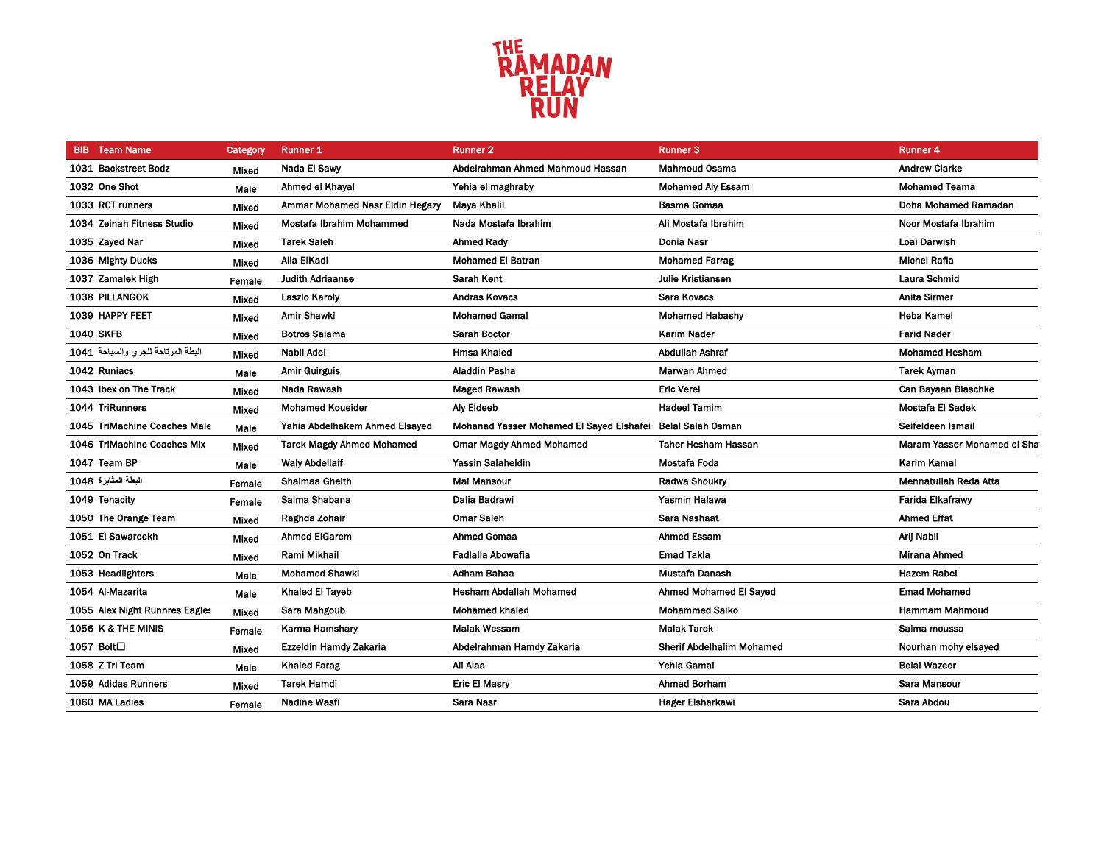

| <b>BIB</b> Team Name               | Category     | <b>Runner 1</b>                  | <b>Runner 2</b>                                            | <b>Runner 3</b>                  | <b>Runner 4</b>             |
|------------------------------------|--------------|----------------------------------|------------------------------------------------------------|----------------------------------|-----------------------------|
| 1031 Backstreet Bodz               | Mixed        | Nada El Sawy                     | Abdelrahman Ahmed Mahmoud Hassan                           | <b>Mahmoud Osama</b>             | <b>Andrew Clarke</b>        |
| 1032 One Shot                      | Male         | Ahmed el Khayal                  | Yehia el maghraby                                          | <b>Mohamed Aly Essam</b>         | <b>Mohamed Teama</b>        |
| 1033 RCT runners                   | Mixed        | Ammar Mohamed Nasr Eldin Hegazy  | <b>Mava Khalil</b>                                         | <b>Basma Gomaa</b>               | Doha Mohamed Ramadan        |
| 1034 Zeinah Fitness Studio         | Mixed        | Mostafa Ibrahim Mohammed         | Nada Mostafa Ibrahim                                       | Ali Mostafa Ibrahim              | Noor Mostafa Ibrahim        |
| 1035 Zayed Nar                     | <b>Mixed</b> | <b>Tarek Saleh</b>               | <b>Ahmed Rady</b>                                          | Donia Nasr                       | Loai Darwish                |
| 1036 Mighty Ducks                  | Mixed        | Alia ElKadi                      | <b>Mohamed El Batran</b>                                   | <b>Mohamed Farrag</b>            | <b>Michel Rafla</b>         |
| 1037 Zamalek High                  | Female       | <b>Judith Adriaanse</b>          | Sarah Kent                                                 | <b>Julie Kristiansen</b>         | Laura Schmid                |
| 1038 PILLANGOK                     | Mixed        | <b>Laszlo Karoly</b>             | <b>Andras Kovacs</b>                                       | Sara Kovacs                      | <b>Anita Sirmer</b>         |
| 1039 HAPPY FEET                    | Mixed        | Amir Shawki                      | <b>Mohamed Gamal</b>                                       | <b>Mohamed Habashy</b>           | <b>Heba Kamel</b>           |
| <b>1040 SKFB</b>                   | Mixed        | <b>Botros Salama</b>             | <b>Sarah Boctor</b>                                        | <b>Karim Nader</b>               | <b>Farid Nader</b>          |
| البطة المرتاحة للجرى والسباحة 1041 | Mixed        | Nabil Adel                       | <b>Hmsa Khaled</b>                                         | Abdullah Ashraf                  | <b>Mohamed Hesham</b>       |
| 1042 Runiacs                       | Male         | <b>Amir Guirguis</b>             | Aladdin Pasha                                              | <b>Marwan Ahmed</b>              | <b>Tarek Ayman</b>          |
| 1043 Ibex on The Track             | Mixed        | Nada Rawash                      | <b>Maged Rawash</b>                                        | <b>Eric Verel</b>                | Can Bayaan Blaschke         |
| 1044 TriRunners                    | Mixed        | <b>Mohamed Koueider</b>          | <b>Aly Eldeeb</b>                                          | <b>Hadeel Tamim</b>              | Mostafa El Sadek            |
| 1045 TriMachine Coaches Male       | Male         | Yahia Abdelhakem Ahmed Elsaved   | Mohanad Yasser Mohamed El Sayed Elshafei Belal Salah Osman |                                  | Seifeldeen Ismail           |
| 1046 TriMachine Coaches Mix        | Mixed        | <b>Tarek Magdy Ahmed Mohamed</b> | <b>Omar Magdy Ahmed Mohamed</b>                            | <b>Taher Hesham Hassan</b>       | Maram Yasser Mohamed el Sha |
| 1047 Team BP                       | Male         | <b>Waly Abdellaif</b>            | Yassin Salaheldin                                          | Mostafa Foda                     | Karim Kamal                 |
| البطة المثابرة 1048                | Female       | Shaimaa Gheith                   | Mai Mansour                                                | <b>Radwa Shoukry</b>             | Mennatullah Reda Atta       |
| 1049 Tenacity                      | Female       | Salma Shabana                    | Dalia Badrawi                                              | Yasmin Halawa                    | <b>Farida Elkafrawy</b>     |
| 1050 The Orange Team               | Mixed        | Raghda Zohair                    | <b>Omar Saleh</b>                                          | Sara Nashaat                     | <b>Ahmed Effat</b>          |
| 1051 El Sawareekh                  | Mixed        | <b>Ahmed ElGarem</b>             | <b>Ahmed Gomaa</b>                                         | <b>Ahmed Essam</b>               | Arii Nabil                  |
| 1052 On Track                      | Mixed        | <b>Rami Mikhail</b>              | Fadialla Abowafia                                          | <b>Emad Takla</b>                | Mirana Ahmed                |
| 1053 Headlighters                  | Male         | <b>Mohamed Shawki</b>            | Adham Bahaa                                                | Mustafa Danash                   | Hazem Rabei                 |
| 1054 Al-Mazarita                   | Male         | Khaled El Tayeb                  | <b>Hesham Abdallah Mohamed</b>                             | <b>Ahmed Mohamed El Sayed</b>    | <b>Emad Mohamed</b>         |
| 1055 Alex Night Runnres Eagles     | Mixed        | Sara Mahgoub                     | <b>Mohamed khaled</b>                                      | <b>Mohammed Saiko</b>            | <b>Hammam Mahmoud</b>       |
| 1056 K & THE MINIS                 | Female       | Karma Hamshary                   | <b>Malak Wessam</b>                                        | <b>Malak Tarek</b>               | Salma moussa                |
| 1057 Bolt□                         | Mixed        | Ezzeldin Hamdy Zakaria           | Abdelrahman Hamdy Zakaria                                  | <b>Sherif Abdelhalim Mohamed</b> | Nourhan mohy elsayed        |
| 1058 Z Tri Team                    | Male         | Khaled Farag                     | Ali Alaa                                                   | Yehia Gamal                      | <b>Belal Wazeer</b>         |
| 1059 Adidas Runners                | Mixed        | <b>Tarek Hamdi</b>               | <b>Eric El Masry</b>                                       | <b>Ahmad Borham</b>              | Sara Mansour                |
| 1060 MA Ladies                     | Female       | Nadine Wasfi                     | Sara Nasr                                                  | <b>Hager Elsharkawi</b>          | Sara Abdou                  |